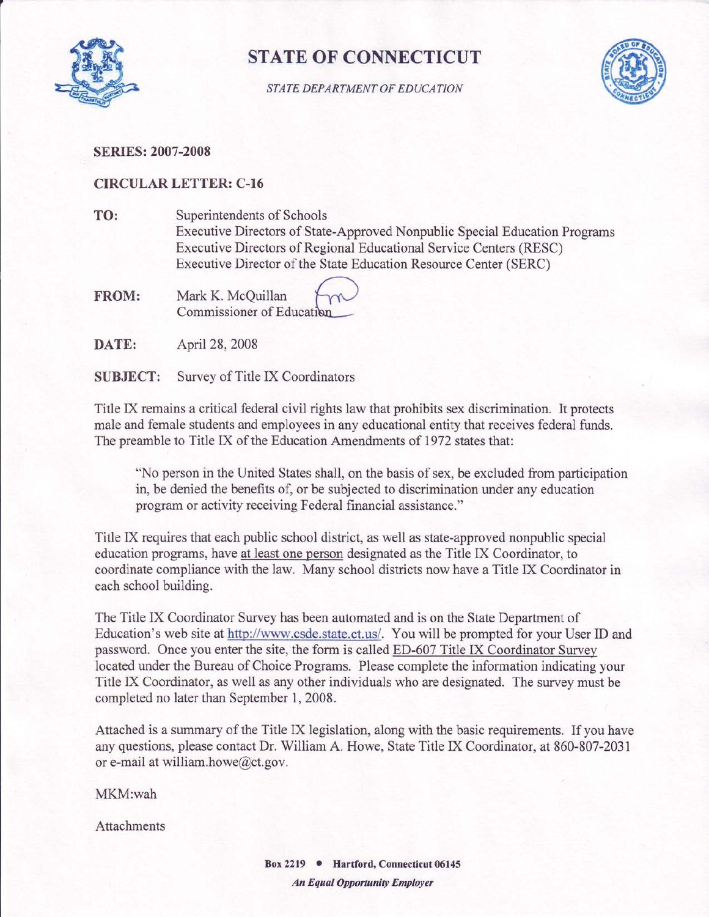

# STATE OF CONNECTICUT

STATE DEPARTMENT OF EDUCATION



### SERIES:2007-2008

## CIRCULAR LETTER: C-16

TO: Superintendents of Schools Executive Directors of State-Approved Nonpublic Special Education Programs Executive Directors of Regional Educational Service Centers (RESC) Executive Director of the State Education Resource Center(SERC)

FROM: Mark K. McQuillan  $\bigcap_{\text{Commissioner of Education}}$ 

**DATE:** April 28, 2008

SUBJECT: Survey of Title IX Coordinators

Title IX remains a critical federal civil rights law that prohibits sex discrimination. It protects male and female students and employees in any educational entity that receives federal funds. The preamble to Title IX of the Education Amendments of 1972 states that:

"No person in the United States shall, on the basis of sex, be excluded from participation in, be denied the benefits of, or be subjected to discrimination under any education program or activity receiving Federal financial assistance."

Title IX requires that each public school district, as well as state-approved nonpublic special education programs, have at least one person designated as the Title IX Coordinator, to coordinate compliance with the law. Many school districts now have a Title IX Coordinator in each school building.

The Title IX Coordinator Survey has been automated and is on the State Department of Education's web site at http://www.csde.state.ct.us/. You will be prompted for your User ID and password. Once you enter the site, the form is called ED-607 Title IX Coordinator Survey located under the Bureau of Choice Programs. Please complete the information indicating your Title IX Coordinator, as well as any other individuals who are designated. The survey must be completed no later than September 1, 2008.

Attached is a summary of the Title IX legislation, along with the basic requirements. If you have any questions, please contact Dr. William A. Howe, State Title IX Coordinator, at 860-807-2031 or e-mail at william.howe@ct.gov.

MKM:wah

Attachments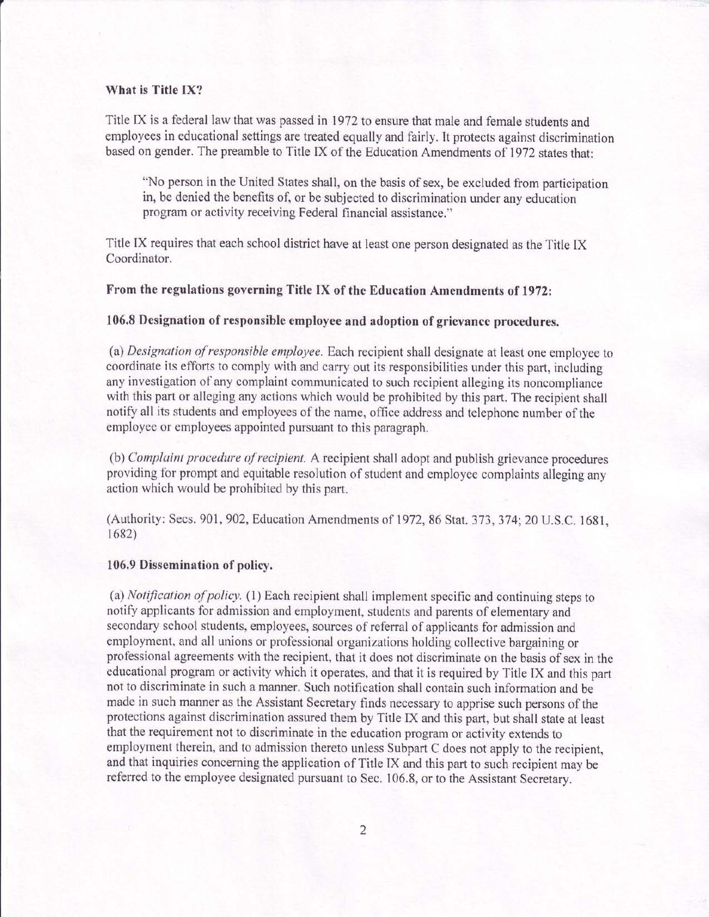#### What is Title IX?

Title IX is a federal law that was passed in 1972 to ensure that male and female students and employees in educational settings are treated equally and fairly. It protects against discrimination based on gender. The preamble to Title IX of the Education Amendments of 1972 states that:

"No person in the United States shall, on the basis of sex, be excluded from participation in, be denied the benefits of, or be subjected to discrimination under any education program or activity receiving Federal financial assistance."

Title IX requires that each school district have at least one person designated as the Title IX Coordinator.

From the regulations governing Title IX of the Education Amendments of 1972:

## 106.8 Designation of responsible employee and adoption of grievance procedures.

(a) Designation of responsible employee. Each recipient shall designate at least one employee to coordinate its efforts to comply with and carry out its responsibilities under this part, including any investigation of any complaint communicated to such recipient alleging its noncompliance with this part or alleging any actions which would be prohibited by this part. The recipient shall notify all its students and employees of the name, office address and telephone number of the employee or employees appointed pursuant to this paragraph.

(b) Complaint procedure of recipient. A recipient shall adopt and publish grievance procedures providing for prompt and equitable resolution of student and employee complaints alleging any action which would be prohibited by this part.

(Authority: Secs. 901, 902, Education Amendments of 1972, 86 Stat. 373, 374; 20 U.S.C. 1681,  $1682)$ 

#### 106.9 Dissemination of policy.

(a) Notification of policy. (1) Each recipient shall implement specific and continuing steps to notify applicants for admission and employment, students and parents of elementary and secondary school students, employees, sources of referral of applicants for admission and employment, and all unions or professional organizations holding collective bargaining or professional agreements with the recipient, that it does not discriminate on the basis of sex in the educational program or activity which it operates, and that it is required by Title IX and this part not to discriminate in such a manner. Such notification shall contain such information and be made in such manner as the Assistant Secretary finds necessary to apprise such persons of the protections against discrimination assured them by Title IX and this part, but shall state at least that the requirement not to discriminate in the education program or activity extends to employment therein, and to admission thereto unless Subpart C does not apply to the recipient, and that inquiries concerning the application of Title IX and this part to such recipient may be referred to the employee designated pursuant to Sec. 106.8, or to the Assistant Secretary.